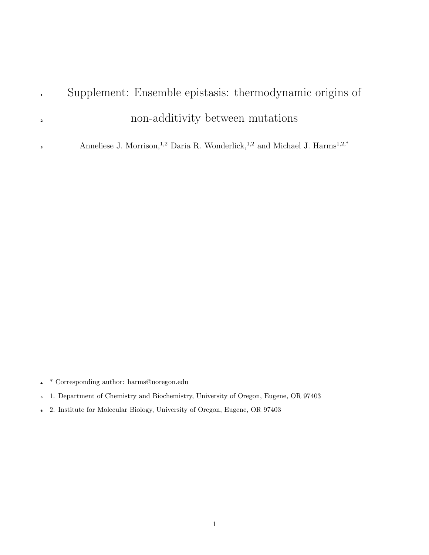# Supplement: Ensemble epistasis: thermodynamic origins of non-additivity between mutations

Anneliese J. Morrison,<sup>1,2</sup> Daria R. Wonderlick,<sup>1,2</sup> and Michael J. Harms<sup>1,2,\*</sup> 

- \* Corresponding author: harms@uoregon.edu
- 1. Department of Chemistry and Biochemistry, University of Oregon, Eugene, OR 97403
- 2. Institute for Molecular Biology, University of Oregon, Eugene, OR 97403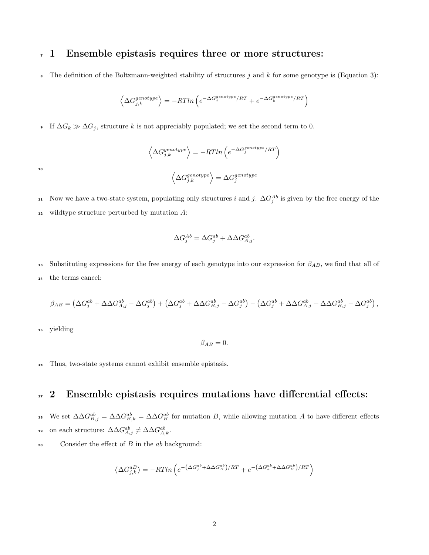### <sup>7</sup> 1 Ensemble epistasis requires three or more structures:

**8** The definition of the Boltzmann-weighted stability of structures j and k for some genotype is (Equation 3):

$$
\left\langle \Delta G_{j,k}^{genotype} \right\rangle = - R T ln \left( e^{- \Delta G_{j}^{genotype} / RT} + e^{- \Delta G_{k}^{genotype} / RT} \right)
$$

• If  $\Delta G_k \gg \Delta G_j$ , structure k is not appreciably populated; we set the second term to 0.

$$
\left\langle \Delta G_{j,k}^{genotype} \right\rangle = -RTln\left(e^{-\Delta G_j^{genotype}/RT}\right)
$$
  

$$
\left\langle \Delta G_{j,k}^{genotype} \right\rangle = \Delta G_j^{genotype}
$$

10

11 Now we have a two-state system, populating only structures i and j.  $\Delta G_j^{Ab}$  is given by the free energy of the  $12$  wildtype structure perturbed by mutation A:

$$
\Delta G_j^{Ab} = \Delta G_j^{ab} + \Delta \Delta G_{A,j}^{ab}.
$$

13 Substituting expressions for the free energy of each genotype into our expression for  $\beta_{AB}$ , we find that all of <sup>14</sup> the terms cancel:

$$
\beta_{AB} = \left(\Delta G_j^{ab} + \Delta \Delta G_{A,j}^{ab} - \Delta G_j^{ab}\right) + \left(\Delta G_j^{ab} + \Delta \Delta G_{B,j}^{ab} - \Delta G_j^{ab}\right) - \left(\Delta G_j^{ab} + \Delta \Delta G_{A,j}^{ab} + \Delta \Delta G_{B,j}^{ab} - \Delta G_j^{ab}\right),
$$

<sup>15</sup> yielding

 $\beta_{AB}=0.$ 

<sup>16</sup> Thus, two-state systems cannot exhibit ensemble epistasis.

## <sup>17</sup> 2 Ensemble epistasis requires mutations have differential effects:

- **18** We set  $\Delta \Delta G_{B,j}^{ab} = \Delta \Delta G_{B,k}^{ab} = \Delta \Delta G_B^{ab}$  for mutation B, while allowing mutation A to have different effects **on** each structure:  $\Delta \Delta G_{A,j}^{ab} \neq \Delta \Delta G_{A,k}^{ab}$ .
- 20 Consider the effect of  $B$  in the  $ab$  background:

$$
\left\langle \Delta G_{j,k}^{aB}\right\rangle =-RTln\left(e^{-\left(\Delta G_{j}^{ab}+\Delta\Delta G_{B}^{ab}\right)/RT}+e^{-\left(\Delta G_{k}^{ab}+\Delta\Delta G_{B}^{ab}\right)/RT}\right)
$$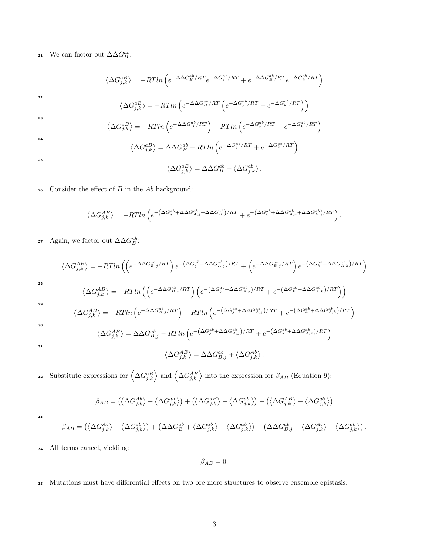21 We can factor out  $\Delta \Delta G_B^{ab}$ :

$$
\langle \Delta G_{j,k}^{aB} \rangle = -RTln \left( e^{-\Delta\Delta G_B^{ab}/RT} e^{-\Delta G_j^{ab}/RT} + e^{-\Delta\Delta G_B^{ab}/RT} e^{-\Delta G_k^{ab}/RT} \right)
$$
  
\n
$$
\langle \Delta G_{j,k}^{aB} \rangle = -RTln \left( e^{-\Delta\Delta G_B^{ab}/RT} \left( e^{-\Delta G_j^{ab}/RT} + e^{-\Delta G_k^{ab}/RT} \right) \right)
$$
  
\n
$$
\langle \Delta G_{j,k}^{aB} \rangle = -RTln \left( e^{-\Delta\Delta G_B^{ab}/RT} \right) - RTln \left( e^{-\Delta G_j^{ab}/RT} + e^{-\Delta G_k^{ab}/RT} \right)
$$
  
\n
$$
\langle \Delta G_{j,k}^{aB} \rangle = \Delta\Delta G_B^{ab} - RTln \left( e^{-\Delta G_j^{ab}/RT} + e^{-\Delta G_k^{ab}/RT} \right)
$$
  
\n
$$
\langle \Delta G_{j,k}^{aB} \rangle = \Delta\Delta G_B^{ab} + \langle \Delta G_{j,k}^{ab} \rangle.
$$

 $\,$  consider the effect of  $B$  in the  $Ab$  background:

$$
\left\langle \Delta G_{j,k}^{AB}\right\rangle=-RTln\left(e^{-\left(\Delta G_{j}^{ab}+\Delta\Delta G_{A,j}^{ab}+\Delta\Delta G_{B}^{ab}\right)/RT}+e^{-\left(\Delta G_{k}^{ab}+\Delta\Delta G_{A,k}^{ab}+\Delta\Delta G_{B}^{ab}\right)/RT}\right).
$$

27 Again, we factor out  $\Delta \Delta G_B^{ab}$ :

$$
\langle \Delta G_{j,k}^{AB} \rangle = -RTln\left(\left(e^{-\Delta\Delta G_{B,j}^{ab}/RT}\right)e^{-\left(\Delta G_{j}^{ab} + \Delta\Delta G_{A,j}^{ab}\right)/RT} + \left(e^{-\Delta\Delta G_{B,j}^{ab}/RT}\right)e^{-\left(\Delta G_{k}^{ab} + \Delta\Delta G_{A,k}^{ab}\right)/RT}\right)
$$
  
\n28  
\n
$$
\langle \Delta G_{j,k}^{AB} \rangle = -RTln\left(\left(e^{-\Delta\Delta G_{B,j}^{ab}/RT}\right)\left(e^{-\left(\Delta G_{j}^{ab} + \Delta\Delta G_{A,j}^{ab}\right)/RT} + e^{-\left(\Delta G_{k}^{ab} + \Delta\Delta G_{A,k}^{ab}\right)/RT}\right)\right)
$$
  
\n29  
\n
$$
\langle \Delta G_{j,k}^{AB} \rangle = -RTln\left(e^{-\Delta\Delta G_{B,j}^{ab}/RT}\right) - RTln\left(e^{-\left(\Delta G_{j}^{ab} + \Delta\Delta G_{A,j}^{ab}\right)/RT} + e^{-\left(\Delta G_{k}^{ab} + \Delta\Delta G_{A,k}^{ab}\right)/RT}\right)
$$
  
\n30  
\n31  
\n
$$
\langle \Delta G_{j,k}^{AB} \rangle = \Delta\Delta G_{B,j}^{ab} - RTln\left(e^{-\left(\Delta G_{j}^{ab} + \Delta\Delta G_{A,j}^{ab}\right)/RT} + e^{-\left(\Delta G_{k}^{ab} + \Delta\Delta G_{A,k}^{ab}\right)/RT}\right)
$$
  
\n31  
\n
$$
\langle \Delta G_{j,k}^{AB} \rangle = \Delta\Delta G_{B,j}^{ab} + \langle \Delta G_{j,k}^{Ab} \rangle.
$$

s Substitute expressions for  $\left\langle \Delta G_{j,k}^{aB} \right\rangle$  and  $\left\langle \Delta G_{j,k}^{AB} \right\rangle$  into the expression for  $\beta_{AB}$  (Equation 9):

$$
\beta_{AB} = (\langle \Delta G_{j,k}^{Ab} \rangle - \langle \Delta G_{j,k}^{ab} \rangle) + (\langle \Delta G_{j,k}^{aB} \rangle - \langle \Delta G_{j,k}^{ab} \rangle) - (\langle \Delta G_{j,k}^{AB} \rangle - \langle \Delta G_{j,k}^{ab} \rangle)
$$

33

$$
\beta_{AB} = \left( \left\langle \Delta G_{j,k}^{Ab} \right\rangle - \left\langle \Delta G_{j,k}^{ab} \right\rangle \right) + \left( \Delta \Delta G_B^{ab} + \left\langle \Delta G_{j,k}^{ab} \right\rangle - \left\langle \Delta G_{j,k}^{ab} \right\rangle \right) - \left( \Delta \Delta G_{B,j}^{ab} + \left\langle \Delta G_{j,k}^{Ab} \right\rangle - \left\langle \Delta G_{j,k}^{ab} \right\rangle \right).
$$

<sup>34</sup> All terms cancel, yielding:

 $\beta_{AB}=0.$ 

<sup>35</sup> Mutations must have differential effects on two ore more structures to observe ensemble epistasis.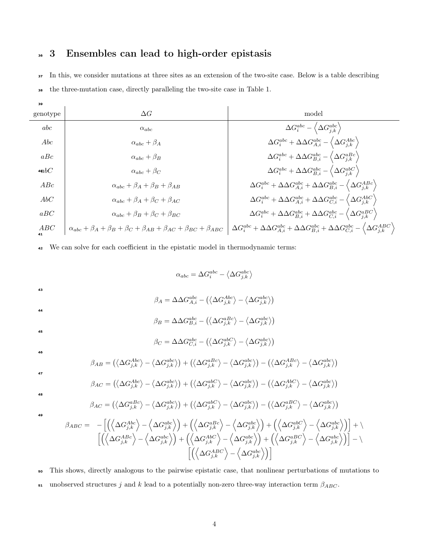## <sup>36</sup> 3 Ensembles can lead to high-order epistasis

<sup>37</sup> In this, we consider mutations at three sites as an extension of the two-site case. Below is a table describing

<sup>38</sup> the three-mutation case, directly paralleling the two-site case in Table 1.

| 39        |                                                                                                   |                                                                                                                                                     |
|-----------|---------------------------------------------------------------------------------------------------|-----------------------------------------------------------------------------------------------------------------------------------------------------|
| genotype  | $\Delta G$                                                                                        | model                                                                                                                                               |
| abc       | $\alpha_{abc}$                                                                                    | $\Delta G_i^{abc} - \left\langle \Delta G_{j,k}^{abc}\right\rangle$                                                                                 |
| Abc       | $\alpha_{abc} + \beta_A$                                                                          | $\Delta G_i^{abc}+\Delta \Delta G_{A,i}^{abc}-\left\langle \Delta G_{j,k}^{Abc}\right\rangle$                                                       |
| aBc       | $\alpha_{abc} + \beta_B$                                                                          | $\Delta G_i^{abc}+\Delta \Delta G_{B,i}^{abc}-\left\langle \Delta G_{j,k}^{aBc}\right\rangle$                                                       |
| 4 $abC$   | $\alpha_{abc} + \beta_C$                                                                          | $\Delta G_i^{abc}+\Delta \Delta G_{B,i}^{abc}-\left\langle \Delta G_{i,k}^{abc}\right\rangle$                                                       |
| ABC       | $\alpha_{abc} + \beta_A + \beta_B + \beta_{AB}$                                                   | $\Delta G_i^{abc} + \Delta \Delta G_{A,i}^{abc} + \Delta \Delta G_{B,i}^{abc} - \langle \Delta G_{i,k}^{ABC} \rangle$                               |
| AbC       | $\alpha_{abc} + \beta_A + \beta_C + \beta_{AC}$                                                   | $\Delta G_i^{abc} + \Delta \Delta G_{A,i}^{abc} + \Delta \Delta G_{C,i}^{abc} - \langle \Delta G_{i,k}^{AbC} \rangle$                               |
| aBC       | $\alpha_{abc} + \beta_B + \beta_C + \beta_{BC}$                                                   | $\Delta G_i^{abc} + \Delta \Delta G_{B,i}^{abc} + \Delta \Delta G_{C,i}^{abc} - \langle \Delta G_{j,k}^{aBC} \rangle$                               |
| ABC<br>41 | $\alpha_{abc} + \beta_A + \beta_B + \beta_C + \beta_{AB} + \beta_{AC} + \beta_{BC} + \beta_{ABC}$ | $\Delta G_i^{abc} + \Delta \Delta G_{A,i}^{abc} + \Delta \Delta G_{B,i}^{abc} + \Delta \Delta G_{C,i}^{abc} - \langle \Delta G_{j,k}^{ABC} \rangle$ |
|           |                                                                                                   |                                                                                                                                                     |

<sup>42</sup> We can solve for each coefficient in the epistatic model in thermodynamic terms:

$$
\alpha_{abc} = \Delta G_i^{abc} - \langle \Delta G_{j,k}^{abc} \rangle
$$

43

44

46

47

 $\beta_A = \Delta\Delta G_{A,i}^{abc} - \left( \left< \Delta G_{j,k}^{A b c} \right> - \left< \Delta G_{j,k}^{abc} \right> \right)$ 

$$
\beta_B = \Delta\Delta G_{B,i}^{abc} - \left(\left\langle\Delta G_{j,k}^{aBc}\right\rangle - \left\langle\Delta G_{j,k}^{abc}\right\rangle\right)
$$

$$
\beta_C = \Delta \Delta G_{C,i}^{abc} - \left( \left< \Delta G_{j,k}^{abc} \right> - \left< \Delta G_{j,k}^{abc} \right> \right)
$$

$$
\beta_{AB} = (\langle \Delta G_{j,k}^{A b c} \rangle - \langle \Delta G_{j,k}^{abc} \rangle) + (\langle \Delta G_{j,k}^{a B c} \rangle - \langle \Delta G_{j,k}^{abc} \rangle) - (\langle \Delta G_{j,k}^{A B c} \rangle - \langle \Delta G_{j,k}^{abc} \rangle)
$$

$$
\beta_{AC} = (\langle \Delta G_{j,k}^{A b c} \rangle - \langle \Delta G_{j,k}^{abc} \rangle) + (\langle \Delta G_{j,k}^{abc} \rangle - \langle \Delta G_{j,k}^{abc} \rangle) - (\langle \Delta G_{j,k}^{Ab c} \rangle - \langle \Delta G_{j,k}^{abc} \rangle)
$$

48

49

$$
\beta_{AC} = (\langle \Delta G_{j,k}^{abc} \rangle - \langle \Delta G_{j,k}^{abc} \rangle) + (\langle \Delta G_{j,k}^{abc} \rangle - \langle \Delta G_{j,k}^{abc} \rangle) - (\langle \Delta G_{j,k}^{abc} \rangle - \langle \Delta G_{j,k}^{abc} \rangle)
$$
\n
$$
\beta_{ABC} = -\left[ \left( \langle \Delta G_{j,k}^{Abc} \rangle - \langle \Delta G_{j,k}^{abc} \rangle \right) + \left( \langle \Delta G_{j,k}^{abc} \rangle - \langle \Delta G_{j,k}^{abc} \rangle \right) + \left( \langle \Delta G_{j,k}^{abc} \rangle - \langle \Delta G_{j,k}^{abc} \rangle \right) \right] + \rangle
$$
\n
$$
\left[ \left( \langle \Delta G_{j,k}^{ABC} \rangle - \langle \Delta G_{j,k}^{abc} \rangle \right) + \left( \langle \Delta G_{j,k}^{ABC} \rangle - \langle \Delta G_{j,k}^{abc} \rangle \right) + \left( \langle \Delta G_{j,k}^{ABC} \rangle - \langle \Delta G_{j,k}^{abc} \rangle \right) \right] - \rangle
$$
\n
$$
\left[ \left( \langle \Delta G_{j,k}^{ABC} \rangle - \langle \Delta G_{j,k}^{abc} \rangle \right) \right]
$$

<sup>50</sup> This shows, directly analogous to the pairwise epistatic case, that nonlinear perturbations of mutations to 51 unobserved structures j and k lead to a potentially non-zero three-way interaction term  $\beta_{ABC}$ .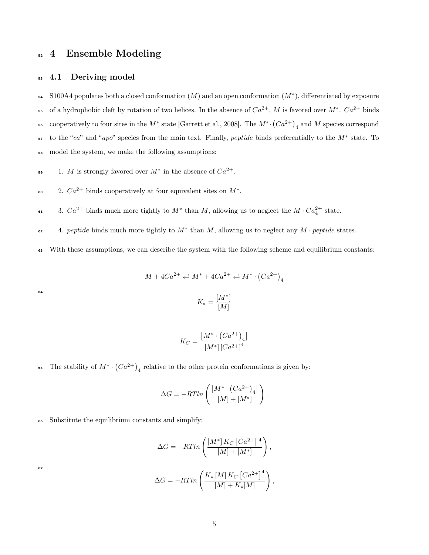## <sup>52</sup> 4 Ensemble Modeling

#### 53 4.1 Deriving model

54 S100A4 populates both a closed conformation  $(M)$  and an open conformation  $(M^*)$ , differentiated by exposure 55 of a hydrophobic cleft by rotation of two helices. In the absence of  $Ca^{2+}$ , M is favored over  $M^*$ .  $Ca^{2+}$  binds **56** cooperatively to four sites in the  $M^*$  state [Garrett et al., 2008]. The  $M^* \cdot (Ca^{2+})$ <sub>4</sub> and M species correspond  $\mathbf{I}$  to the "ca" and "apo" species from the main text. Finally, peptide binds preferentially to the  $M^*$  state. To <sup>58</sup> model the system, we make the following assumptions:

- $1. M$  is strongly favored over  $M^*$  in the absence of  $Ca^{2+}$ .
- $2. Ca^{2+}$  binds cooperatively at four equivalent sites on  $M^*$ .
- 61 3.  $Ca^{2+}$  binds much more tightly to  $M^*$  than M, allowing us to neglect the  $M \cdot Ca_4^{2+}$  state.
- $\epsilon_2$  4. peptide binds much more tightly to  $M^*$  than M, allowing us to neglect any  $M$  · peptide states.
- <sup>63</sup> With these assumptions, we can describe the system with the following scheme and equilibrium constants:

$$
M + 4Ca^{2+} \rightleftarrows M^* + 4Ca^{2+} \rightleftarrows M^* \cdot (Ca^{2+})_4
$$
  

$$
K_* = \frac{[M^*]}{[M]}
$$

64

$$
K_C = \frac{[M^* \cdot (Ca^{2+})_4]}{[M^*] [Ca^{2+}]^4}
$$

65 The stability of  $M^* \cdot (Ca^{2+})$ <sub>4</sub> relative to the other protein conformations is given by:

$$
\Delta G = -RTln\left(\frac{\left[M^* \cdot \left(Ca^{2+}\right)_4\right]}{\left[M\right] + \left[M^*\right]}\right).
$$

<sup>66</sup> Substitute the equilibrium constants and simplify:

$$
\Delta G = -RTln\left(\frac{[M^*]K_C [Ca^{2+}]^4}{[M]+[M^*]}\right),
$$
  

$$
\Delta G = -RTln\left(\frac{K_* [M]K_C [Ca^{2+}]^4}{[M]+K_*[M]}\right),
$$

67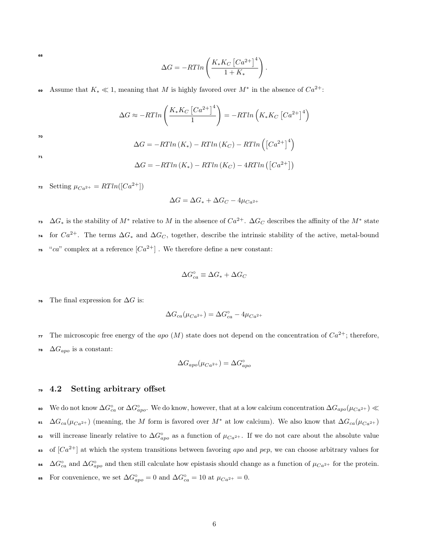68

$$
\Delta G = -RTln\left(\frac{K_* K_C \left[Ca^{2+}\right]^4}{1+K_*}\right).
$$

#### **Assume that K**<sup>\*</sup>  $\ll$  1, meaning that M is highly favored over  $M^*$  in the absence of  $Ca^{2+}$ :

$$
\Delta G \approx -RTln\left(\frac{K_* K_C \left[Ca^{2+}\right]^4}{1}\right) = -RTln\left(K_* K_C \left[Ca^{2+}\right]^4\right)
$$

$$
\Delta G = -RTln\left(K_*) - RTln\left(K_C\right) - RTln\left(\left[Ca^{2+}\right]^4\right)
$$

71

70

$$
\Delta G = -RTln(K_*) - RTln(K_C) - 4RTln([Ca^{2+}])
$$

72 Setting  $\mu_{Ca^{2+}} = RTln([Ca^{2+}])$ 

$$
\Delta G = \Delta G_* + \Delta G_C - 4\mu_{Ca^{2+}}
$$

<sup>73</sup>  $\Delta G_*$  is the stability of  $M^*$  relative to M in the absence of  $Ca^{2+}$ .  $\Delta G_C$  describes the affinity of the  $M^*$  state <sup>74</sup> for  $Ca^{2+}$ . The terms  $\Delta G_*$  and  $\Delta G_C$ , together, describe the intrinsic stability of the active, metal-bound <sup>75</sup> "ca" complex at a reference  $[Ca^{2+}]$ . We therefore define a new constant:

$$
\Delta G_{ca}^{\circ }\equiv \Delta G_{\ast }+\Delta G_{C}
$$

The final expression for  $\Delta G$  is:

$$
\Delta G_{ca}(\mu_{Ca^{2+}})=\Delta G^{\circ}_{ca}-4\mu_{Ca^{2+}}
$$

The microscopic free energy of the apo  $(M)$  state does not depend on the concentration of  $Ca^{2+}$ ; therefore,

78  $\Delta G_{apo}$  is a constant:

$$
\Delta G_{apo}(\mu_{Ca^{2+}})=\Delta G_{apo}^{\circ}
$$

#### <sup>79</sup> 4.2 Setting arbitrary offset

• We do not know  $\Delta G_{ca}^{\circ}$  or  $\Delta G_{apo}^{\circ}$ . We do know, however, that at a low calcium concentration  $\Delta G_{apo}(\mu_{Ca^{2+}})$  ≪ •  $\Delta G_{ca}(\mu_{Ca^{2+}})$  (meaning, the M form is favored over M<sup>\*</sup> at low calcium). We also know that  $\Delta G_{ca}(\mu_{Ca^{2+}})$ • will increase linearly relative to  $\Delta G^{\circ}_{apo}$  as a function of  $\mu_{Ca^{2+}}$ . If we do not care about the absolute value <sup>83</sup> of  $[Ca^{2+}]$  at which the system transitions between favoring apo and pep, we can choose arbitrary values for <sup>84</sup>  $\Delta G_{ca}^{\circ}$  and  $\Delta G_{apo}^{\circ}$  and then still calculate how epistasis should change as a function of  $\mu_{Ca^{2+}}$  for the protein.

$$
\text{ss} \quad \text{For convenience, we set } \Delta G_{apo}^{\circ} = 0 \text{ and } \Delta G_{ca}^{\circ} = 10 \text{ at } \mu_{Ca^{2+}} = 0.
$$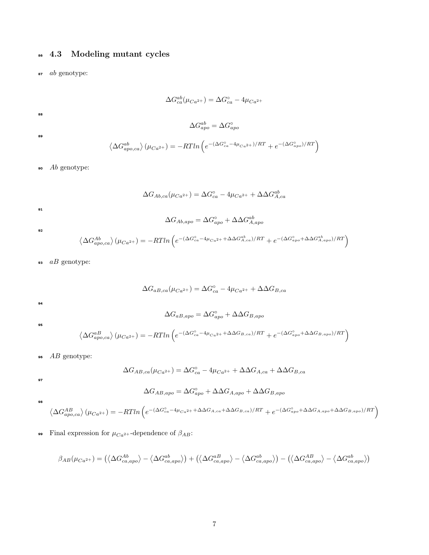## <sup>86</sup> 4.3 Modeling mutant cycles

<sup>87</sup> ab genotype:

$$
\Delta G_{ca}^{ab}(\mu_{Ca^{2+}}) = \Delta G_{ca}^{\circ} - 4\mu_{Ca^{2+}}
$$
  

$$
\Delta G_{apo}^{ab} = \Delta G_{apo}^{\circ}
$$
  

$$
\langle \Delta G_{apo,ca}^{ab} \rangle (\mu_{Ca^{2+}}) = -RTln \left( e^{-(\Delta G_{ca}^{\circ} - 4\mu_{Ca^{2+}})/RT} + e^{-(\Delta G_{apo}^{\circ})/RT} \right)
$$

 $\bullet$   $Ab$  genotype:

$$
\Delta G_{Ab,ca}(\mu_{Ca^{2+}}) = \Delta G_{ca}^{\circ} - 4\mu_{Ca^{2+}} + \Delta \Delta G_{A,ca}^{ab}
$$

91

92

88

89

$$
\Delta G_{Ab,apo}=\Delta G_{apo}^\circ+\Delta \Delta G_{A,apo}^{ab}
$$

$$
\left\langle \Delta G_{apo,ca}^{Ab} \right\rangle(\mu_{Ca^{2+}})=-R T ln \left(e^{-\left(\Delta G_{ca}^{\circ}-4\mu_{Ca^{2+}}+\Delta \Delta G_{A,ca}^{ab}\right)/RT}+e^{-\left(\Delta G_{apo}^{\circ}+\Delta \Delta G_{A,apo}^{ab}\right)/RT}\right)
$$

 $\mathfrak{g}_3$  aB genotype:

$$
\Delta G_{aB,ca}(\mu_{Ca^{2+}}) = \Delta G_{ca}^{\circ} - 4\mu_{Ca^{2+}} + \Delta \Delta G_{B,ca}
$$

94

95

$$
\Delta G_{aB,apo} = \Delta G_{apo}^{\circ} + \Delta \Delta G_{B,apo}
$$

$$
\langle \Delta G_{apo,ca}^{aB} \rangle (\mu_{Ca^{2+}}) = -RTln \left( e^{-(\Delta G_{ca}^{\circ} - 4\mu_{Ca^{2+}} + \Delta \Delta G_{B,ca})/RT} + e^{-(\Delta G_{apo}^{\circ} + \Delta \Delta G_{B,apo})/RT} \right)
$$

<sup>96</sup> AB genotype:

$$
\Delta G_{AB,ca}(\mu_{Ca^{2+}}) = \Delta G_{ca}^{\circ} - 4\mu_{Ca^{2+}} + \Delta \Delta G_{A,ca} + \Delta \Delta G_{B,ca}
$$

97

$$
\Delta G_{AB,apo} = \Delta G_{apo}^{\circ} + \Delta \Delta G_{A,apo} + \Delta \Delta G_{B,apo}
$$

98

$$
\left\langle \Delta G_{apo,ca}^{AB} \right\rangle (\mu_{Ca^{2+}}) = -RTln \left( e^{-(\Delta G_{ca}^{0} - 4\mu_{Ca^{2+}} + \Delta\Delta G_{A,ca} + \Delta\Delta G_{B,ca})/RT} + e^{-(\Delta G_{apo}^{0} + \Delta\Delta G_{A,apo} + \Delta\Delta G_{B,apo})/RT} \right)
$$

**99** Final expression for  $\mu_{Ca^{2+}}$ -dependence of  $\beta_{AB}$ :

$$
\beta_{AB}(\mu_{Ca^{2+}}) = (\langle \Delta G_{ca,apo}^{Ab} \rangle - \langle \Delta G_{ca,apo}^{ab} \rangle) + (\langle \Delta G_{ca,apo}^{aB} \rangle - \langle \Delta G_{ca,apo}^{ab} \rangle) - (\langle \Delta G_{ca,apo}^{AB} \rangle - \langle \Delta G_{ca,apo}^{ab} \rangle)
$$